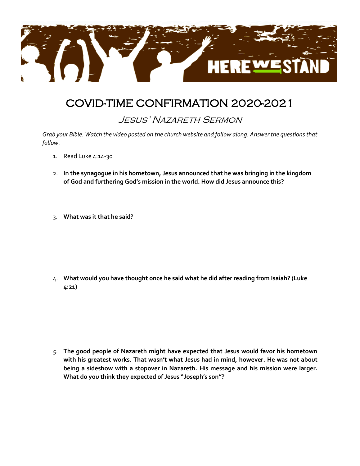

## COVID-TIME CONFIRMATION 2020-2021

## Jesus' Nazareth Sermon

*Grab your Bible. Watch the video posted on the church website and follow along. Answer the questions that follow.*

- 1. Read Luke 4:14-30
- 2. **In the synagogue in his hometown, Jesus announced that he was bringing in the kingdom of God and furthering God's mission in the world. How did Jesus announce this?**
- 3. **What was it that he said?**

4. **What would you have thought once he said what he did after reading from Isaiah? (Luke 4:21)**

5. **The good people of Nazareth might have expected that Jesus would favor his hometown with his greatest works. That wasn't what Jesus had in mind, however. He was not about being a sideshow with a stopover in Nazareth. His message and his mission were larger. What do you think they expected of Jesus "Joseph's son"?**